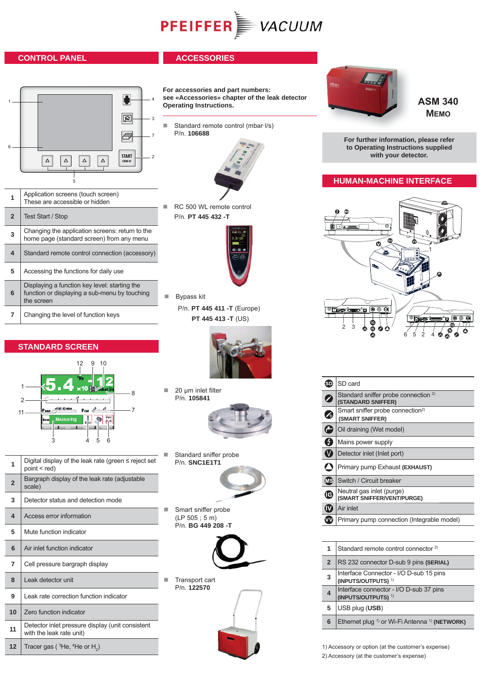# **PFEIFFER** VACUUM

# **CONTROL PANEL**

# **ACCESSORIES**



**For accessories and part numbers: see «Accessories» chapter of the leak detector Operating Instructions.**

Standard remote control (mbar·l/s) P/n. **106688**



- **1** Application screens (touch screen) These are accessible or hidden
- **2** Test Start / Stop

| 3              | Changing the application screens: return to the<br>home page (standard screen) from any menu |  |
|----------------|----------------------------------------------------------------------------------------------|--|
| $\overline{4}$ | Standard remote control connection (accessory)                                               |  |
| 5              | Accessing the functions for daily use                                                        |  |

- **6** Displaying a function key level: starting the function or displaying a sub-menu by touching the screen
- **7** Changing the level of function keys

# **STANDARD SCREEN**



- **1** Digital display of the leak rate (green  $\leq$  reject set point < red) **2** Bargraph display of the leak rate (adjustable scale) **3** Detector status and detection mode **4** Access error information **5** | Mute function indicator **6** Air inlet function indicator **7** Cell pressure bargraph display **8** Leak detector unit **9** Leak rate correction function indicator 10 Zero function indicator
- **11** Detector inlet pressure display (unit consistent with the leak rate unit)
- **12** Tracer gas ( ${}^{3}$ He,  ${}^{4}$ He or H<sub>2</sub>)





■ Bypass kit P/n. **PT 445 411 -T** (Europe)  **PT 445 413 -T** (US)



 20 μm inlet filter P/n. **105841**



 Standard sniffer probe P/n. **SNC1E1T1**



 Smart sniffer probe (LP 505 ; 5 m) P/n. **BG 449 208 -T**



 Transport cart P/n. **122570**



**ASM 340 MEMO**

**For further information, please refer to Operating Instructions supplied with your detector.**

# **HUMAN-MACHINE INTERFACE**



| SD                        | SD card                                                               |
|---------------------------|-----------------------------------------------------------------------|
|                           | Standard sniffer probe connection <sup>2)</sup><br>(STANDARD SNIFFER) |
|                           | Smart sniffer probe connection <sup>2)</sup><br>(SMART SNIFFER)       |
|                           | Oil draining (Wet model)                                              |
|                           | Mains power supply                                                    |
|                           | Detector inlet (Inlet port)                                           |
|                           | Primary pump Exhaust (EXHAUST)                                        |
| Œ                         | Switch / Circuit breaker                                              |
| $\boldsymbol{\mathbb{G}}$ | Neutral gas inlet (purge)<br>(SMART SNIFFER/VENT/PURGE)               |
|                           | Air inlet                                                             |
|                           | Primary pump connection (Integrable model)                            |

|   | 1              | Standard remote control connector <sup>2)</sup>                           |
|---|----------------|---------------------------------------------------------------------------|
|   | $\overline{2}$ | RS 232 connector D-sub 9 pins (SERIAL)                                    |
|   | 3              | Interface Connector - I/O D-sub 15 pins<br>(INPUTS/OUTPUTS) <sup>1)</sup> |
|   | 4              | Interface connector - I/O D-sub 37 pins<br>(INPUTS/OUTPUTS) <sup>1)</sup> |
|   | 5              | USB plug (USB)                                                            |
| 6 |                | Ethernet plug <sup>1)</sup> or Wi-Fi Antenna <sup>1)</sup> (NETWORK)      |

1) Accessory or option (at the customer's expense) 2) Accessory (at the customer's expense)